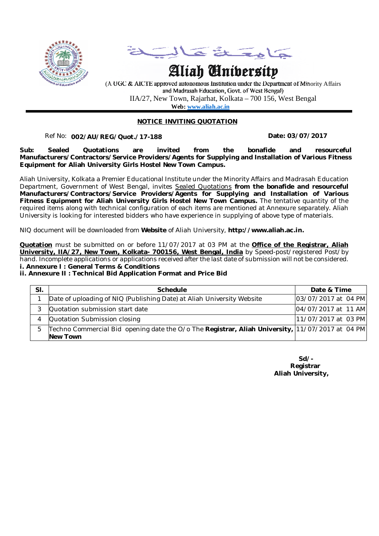



# **Aliah University**

(A UGC & AICTE approved autonomous Institution under the Department of Minority Affairs and Madrasah Education, Govt. of West Bengal) IIA/27, New Town, Rajarhat, Kolkata – 700 156, West Bengal  **Web: www.aliah.ac.in**

## **NOTICE INVITING QUOTATION**

## Ref No: ………………… **Date: 03/07/2017 002/AU/REG/Quot./17-188**

**Sub: Sealed Quotations are invited from the bonafide and resourceful Manufacturers/Contractors/Service Providers/Agents for Supplying and Installation of Various Fitness Equipment for Aliah University Girls Hostel New Town Campus.** 

Aliah University, Kolkata a Premier Educational Institute under the Minority Affairs and Madrasah Education Department, Government of West Bengal, invites Sealed Quotations **from the bonafide and resourceful Manufacturers/Contractors/Service Providers/Agents for Supplying and Installation of Various Fitness Equipment for Aliah University Girls Hostel New Town Campus.** The tentative quantity of the required items along with technical configuration of each items are mentioned at Annexure separately. Aliah University is looking for interested bidders who have experience in supplying of above type of materials.

NIQ document will be downloaded from **Website** of Aliah University, **http://www.aliah.ac.in.**

**Quotation** must be submitted on or before 11/07/2017 at 03 PM at the **Office of the Registrar, Aliah University, IIA/27, New Town, Kolkata- 700156, West Bengal, India** by Speed-post/registered Post/by hand. Incomplete applications or applications received after the last date of submission will not be considered. **i. Annexure I : General Terms & Conditions**

#### **ii. Annexure II : Technical Bid Application Format and Price Bid**

| SI. | Schedule                                                                                                     | Date & Time         |  |  |
|-----|--------------------------------------------------------------------------------------------------------------|---------------------|--|--|
|     | Date of uploading of NIQ (Publishing Date) at Aliah University Website                                       | 03/07/2017 at 04 PM |  |  |
|     | Quotation submission start date                                                                              | 04/07/2017 at 11 AM |  |  |
| 4   | Quotation Submission closing                                                                                 | 11/07/2017 at 03 PM |  |  |
| 5   | [Techno Commercial Bid opening date the O/o The Registrar, Aliah University, 11/07/2017 at 04 PM<br>New Town |                     |  |  |

| $Sd$ .            |  |
|-------------------|--|
| Registrar         |  |
| Aliah University, |  |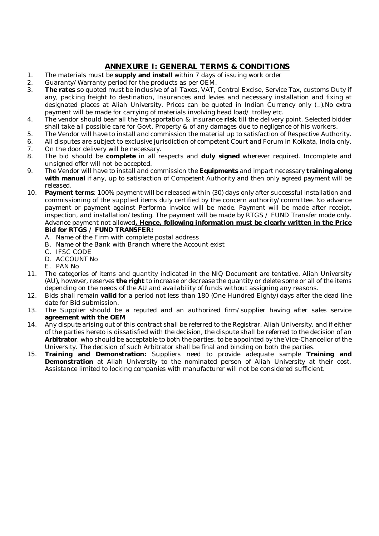# **ANNEXURE I: GENERAL TERMS & CONDITIONS**

- 1. The materials must be **supply and install** within 7 days of issuing work order
- 2. Guaranty/Warranty period for the products as per OEM.
- 3. **The rates** so quoted must be inclusive of all Taxes, VAT, Central Excise, Service Tax, customs Duty if any, packing freight to destination, Insurances and levies and necessary installation and fixing at designated places at Aliah University. Prices can be quoted in Indian Currency only  $(\Box)$ . No extra payment will be made for carrying of materials involving head load/ trolley etc.
- 4. The vendor should bear all the transportation & insurance **risk** till the delivery point. Selected bidder shall take all possible care for Govt. Property & of any damages due to negligence of his workers.
- 5. The Vendor will have to install and commission the material up to satisfaction of Respective Authority.
- 6. All disputes are subject to exclusive jurisdiction of competent Court and Forum in Kolkata, India only.
- 7. On the door delivery will be necessary.<br>8. The bid should be complete in all re 8. The bid should be **complete** in all respects and **duly signed** wherever required. Incomplete and unsigned offer will not be accepted.
- 9. The Vendor will have to install and commission the **Equipments** and impart necessary **training along with manual** if any, up to satisfaction of Competent Authority and then only agreed payment will be released.
- 10. **Payment terms**: 100% payment will be released within (30) days only after successful installation and commissioning of the supplied items duly certified by the concern authority/committee. No advance payment or payment against Performa invoice will be made. Payment will be made after receipt, inspection, and installation/testing. The payment will be made by RTGS / FUND Transfer mode only. Advance payment not allowed**. Hence, following information must be clearly written in the Price Bid for RTGS / FUND TRANSFER:**
	- A. Name of the Firm with complete postal address
	- B. Name of the Bank with Branch where the Account exist
	- C. IFSC CODE
	- D. ACCOUNT No
	- E. PAN No
- 11. The categories of items and quantity indicated in the NIQ Document are tentative. Aliah University (AU), however, reserves **the right** to increase or decrease the quantity or delete some or all of the items depending on the needs of the AU and availability of funds without assigning any reasons.
- 12. Bids shall remain **valid** for a period not less than 180 (One Hundred Eighty) days after the dead line date for Bid submission.
- 13. The Supplier should be a reputed and an authorized firm/supplier having after sales service **agreement with the OEM**
- 14. Any dispute arising out of this contract shall be referred to the Registrar, Aliah University, and if either of the parties hereto is dissatisfied with the decision, the dispute shall be referred to the decision of an **Arbitrator**, who should be acceptable to both the parties, to be appointed by the Vice-Chancellor of the University. The decision of such Arbitrator shall be final and binding on both the parties.
- 15. **Training and Demonstration:** Suppliers need to provide adequate sample **Training and Demonstration** at Aliah University to the nominated person of Aliah University at their cost. Assistance limited to locking companies with manufacturer will not be considered sufficient.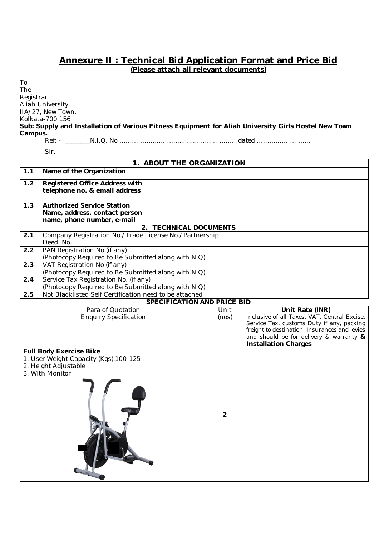# **Annexure II : Technical Bid Application Format and Price Bid (Please attach all relevant documents)**

To The Registrar Aliah University IIA/27, New Town, Kolkata-700 156 **Sub: Supply and Installation of Various Fitness Equipment for Aliah University Girls Hostel New Town Campus.**

Ref: - \_\_\_\_\_\_\_\_N.I.Q. No ………………………................……………dated ……………………..

Sir,

| 1. ABOUT THE ORGANIZATION |                                                                                                               |                                    |                |  |                                                                        |
|---------------------------|---------------------------------------------------------------------------------------------------------------|------------------------------------|----------------|--|------------------------------------------------------------------------|
| 1.1                       | Name of the Organization                                                                                      |                                    |                |  |                                                                        |
| 1.2                       | <b>Registered Office Address with</b>                                                                         |                                    |                |  |                                                                        |
|                           | telephone no. & email address                                                                                 |                                    |                |  |                                                                        |
|                           |                                                                                                               |                                    |                |  |                                                                        |
| 1.3                       | <b>Authorized Service Station</b>                                                                             |                                    |                |  |                                                                        |
|                           | Name, address, contact person<br>name, phone number, e-mail                                                   |                                    |                |  |                                                                        |
|                           |                                                                                                               | 2. TECHNICAL DOCUMENTS             |                |  |                                                                        |
| 2.1                       | Company Registration No./Trade License No./Partnership                                                        |                                    |                |  |                                                                        |
|                           | Deed No.                                                                                                      |                                    |                |  |                                                                        |
| $\overline{2.2}$          | PAN Registration No (if any)                                                                                  |                                    |                |  |                                                                        |
|                           | (Photocopy Required to Be Submitted along with NIQ)                                                           |                                    |                |  |                                                                        |
| $\overline{2.3}$          | VAT Registration No (if any)                                                                                  |                                    |                |  |                                                                        |
|                           | (Photocopy Required to Be Submitted along with NIQ)                                                           |                                    |                |  |                                                                        |
| 2.4                       | Service Tax Registration No. (if any)                                                                         |                                    |                |  |                                                                        |
| 2.5                       | (Photocopy Required to Be Submitted along with NIQ)<br>Not Blacklisted Self Certification need to be attached |                                    |                |  |                                                                        |
|                           |                                                                                                               | <b>SPECIFICATION AND PRICE BID</b> |                |  |                                                                        |
|                           | Para of Quotation                                                                                             |                                    | Unit           |  | Unit Rate (INR)                                                        |
|                           | <b>Enquiry Specification</b>                                                                                  |                                    | (nos)          |  | Inclusive of all Taxes, VAT, Central Excise,                           |
|                           |                                                                                                               |                                    |                |  | Service Tax, customs Duty if any, packing                              |
|                           |                                                                                                               |                                    |                |  | freight to destination, Insurances and levies                          |
|                           |                                                                                                               |                                    |                |  | and should be for delivery & warranty &<br><b>Installation Charges</b> |
|                           | <b>Full Body Exercise Bike</b>                                                                                |                                    |                |  |                                                                        |
|                           | 1. User Weight Capacity (Kgs):100-125                                                                         |                                    |                |  |                                                                        |
|                           | 2. Height Adjustable                                                                                          |                                    |                |  |                                                                        |
|                           | 3. With Monitor                                                                                               |                                    |                |  |                                                                        |
|                           |                                                                                                               |                                    |                |  |                                                                        |
|                           |                                                                                                               |                                    |                |  |                                                                        |
|                           |                                                                                                               |                                    |                |  |                                                                        |
|                           |                                                                                                               |                                    |                |  |                                                                        |
|                           |                                                                                                               |                                    | $\overline{2}$ |  |                                                                        |
|                           |                                                                                                               |                                    |                |  |                                                                        |
|                           |                                                                                                               |                                    |                |  |                                                                        |
|                           |                                                                                                               |                                    |                |  |                                                                        |
|                           |                                                                                                               |                                    |                |  |                                                                        |
|                           |                                                                                                               |                                    |                |  |                                                                        |
|                           |                                                                                                               |                                    |                |  |                                                                        |
|                           |                                                                                                               |                                    |                |  |                                                                        |
|                           |                                                                                                               |                                    |                |  |                                                                        |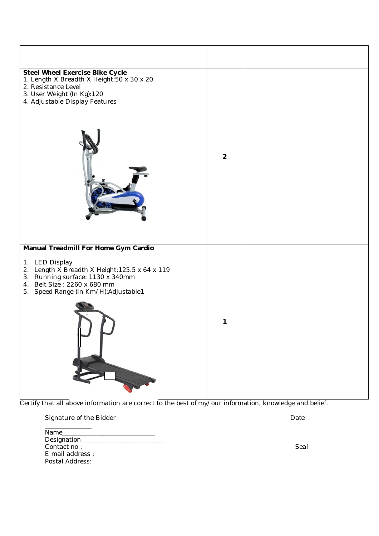| <b>Steel Wheel Exercise Bike Cycle</b>                                                                                                                                      |                |  |
|-----------------------------------------------------------------------------------------------------------------------------------------------------------------------------|----------------|--|
| 1. Length X Breadth X Height: 50 x 30 x 20<br>2. Resistance Level<br>3. User Weight (In Kg):120<br>4. Adjustable Display Features                                           | $\overline{2}$ |  |
|                                                                                                                                                                             |                |  |
| Manual Treadmill For Home Gym Cardio                                                                                                                                        |                |  |
| 1. LED Display<br>2. Length X Breadth X Height: 125.5 x 64 x 119<br>3. Running surface: 1130 x 340mm<br>4. Belt Size: 2260 x 680 mm<br>5. Speed Range (In Km/H):Adjustable1 |                |  |
|                                                                                                                                                                             | 1              |  |

Certify that all above information are correct to the best of my/our information, knowledge and belief.

| Name             |      |
|------------------|------|
| Designation____  |      |
| Contact no:      | Seal |
| E mail address : |      |
| Postal Address:  |      |

Signature of the Bidder **Date** Date **Date** Date